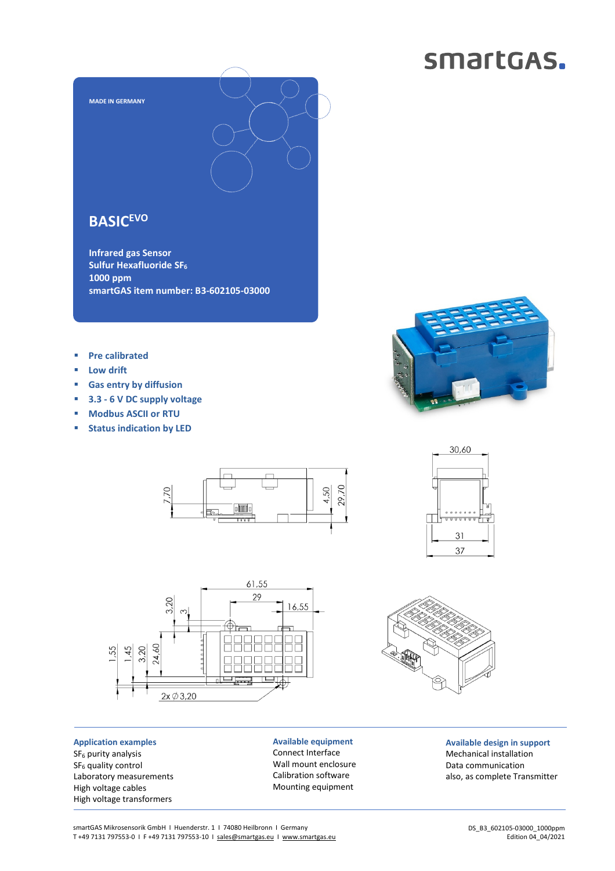## smartGAS.



**Infrared gas Sensor Sulfur Hexafluoride SF<sup>6</sup> 1000 ppm smartGAS item number: B3-602105-03000** 

- **Pre calibrated**
- **Low drift**
- **Gas entry by diffusion**
- **3.3 6 V DC supply voltage**
- **Modbus ASCII or RTU**
- **Status indication by LED**





**Application examples**  SF<sub>6</sub> purity analysis SF<sub>6</sub> quality control Laboratory measurements High voltage cables High voltage transformers

**Available equipment**  Connect Interface Wall mount enclosure Calibration software Mounting equipment







**Available design in support**  Mechanical installation Data communication also, as complete Transmitter

smartGAS Mikrosensorik GmbH | Huenderstr. 1 | 74080 Heilbronn | Germany T +49 7131 797553-0 I F +49 7131 797553-10 I sales@smartgas.eu I www.smartgas.eu